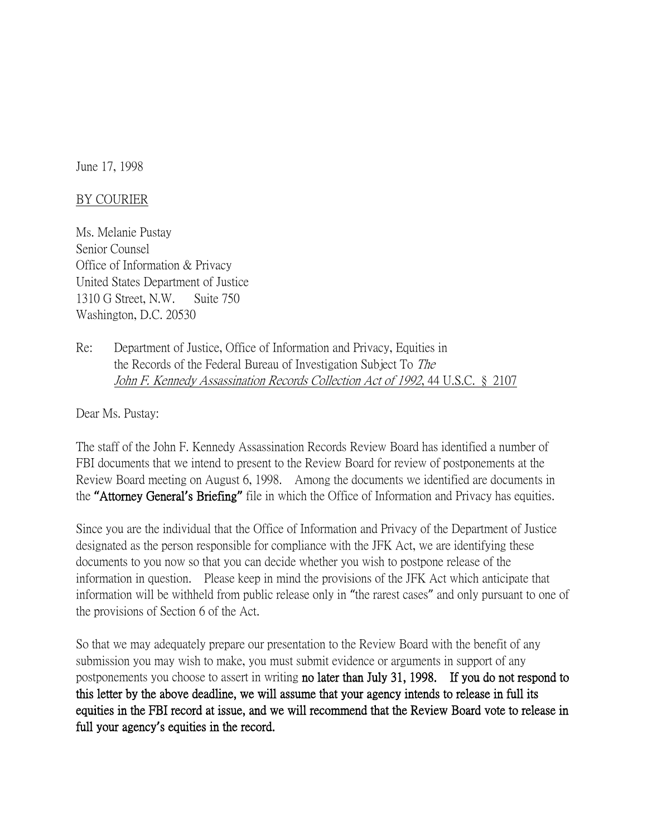June 17, 1998

## BY COURIER

Ms. Melanie Pustay Senior Counsel Office of Information & Privacy United States Department of Justice 1310 G Street, N.W. Suite 750 Washington, D.C. 20530

Re: Department of Justice, Office of Information and Privacy, Equities in the Records of the Federal Bureau of Investigation Subject To The John F. Kennedy Assassination Records Collection Act of 1992, 44 U.S.C. § 2107

Dear Ms. Pustay:

The staff of the John F. Kennedy Assassination Records Review Board has identified a number of FBI documents that we intend to present to the Review Board for review of postponements at the Review Board meeting on August 6, 1998. Among the documents we identified are documents in the **"**Attorney General**'**s Briefing**"** file in which the Office of Information and Privacy has equities.

Since you are the individual that the Office of Information and Privacy of the Department of Justice designated as the person responsible for compliance with the JFK Act, we are identifying these documents to you now so that you can decide whether you wish to postpone release of the information in question. Please keep in mind the provisions of the JFK Act which anticipate that information will be withheld from public release only in "the rarest cases" and only pursuant to one of the provisions of Section 6 of the Act.

So that we may adequately prepare our presentation to the Review Board with the benefit of any submission you may wish to make, you must submit evidence or arguments in support of any postponements you choose to assert in writing no later than July 31, 1998. If you do not respond to this letter by the above deadline, we will assume that your agency intends to release in full its equities in the FBI record at issue, and we will recommend that the Review Board vote to release in full your agency**'**s equities in the record.